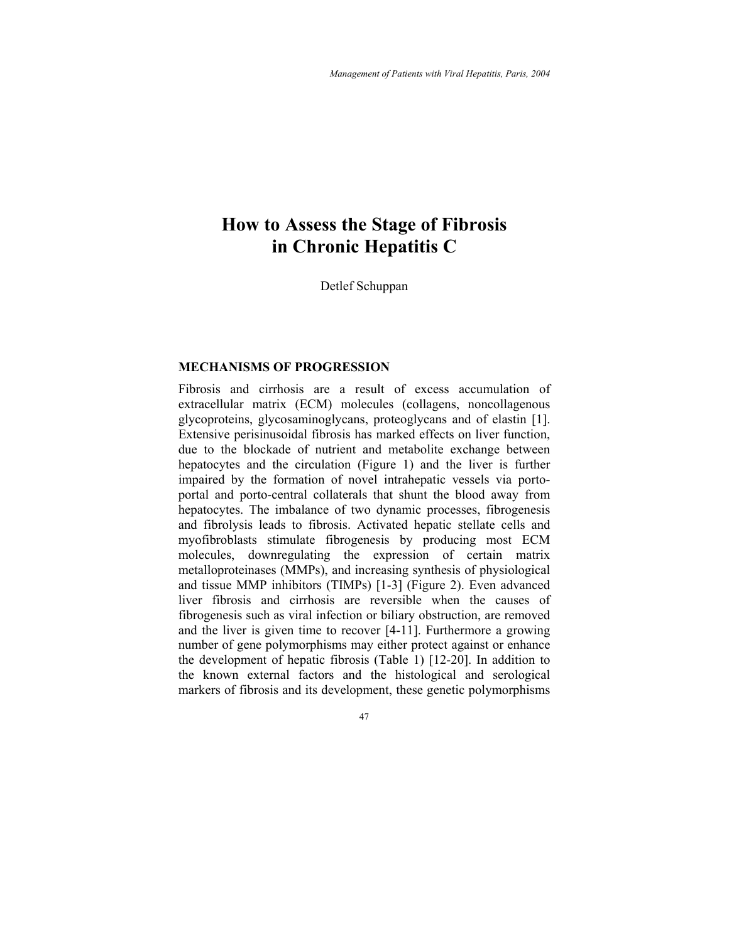# **How to Assess the Stage of Fibrosis in Chronic Hepatitis C**

Detlef Schuppan

# **MECHANISMS OF PROGRESSION**

Fibrosis and cirrhosis are a result of excess accumulation of extracellular matrix (ECM) molecules (collagens, noncollagenous glycoproteins, glycosaminoglycans, proteoglycans and of elastin [1]. Extensive perisinusoidal fibrosis has marked effects on liver function, due to the blockade of nutrient and metabolite exchange between hepatocytes and the circulation (Figure 1) and the liver is further impaired by the formation of novel intrahepatic vessels via portoportal and porto-central collaterals that shunt the blood away from hepatocytes. The imbalance of two dynamic processes, fibrogenesis and fibrolysis leads to fibrosis. Activated hepatic stellate cells and myofibroblasts stimulate fibrogenesis by producing most ECM molecules, downregulating the expression of certain matrix metalloproteinases (MMPs), and increasing synthesis of physiological and tissue MMP inhibitors (TIMPs) [1-3] (Figure 2). Even advanced liver fibrosis and cirrhosis are reversible when the causes of fibrogenesis such as viral infection or biliary obstruction, are removed and the liver is given time to recover [4-11]. Furthermore a growing number of gene polymorphisms may either protect against or enhance the development of hepatic fibrosis (Table 1) [12-20]. In addition to the known external factors and the histological and serological markers of fibrosis and its development, these genetic polymorphisms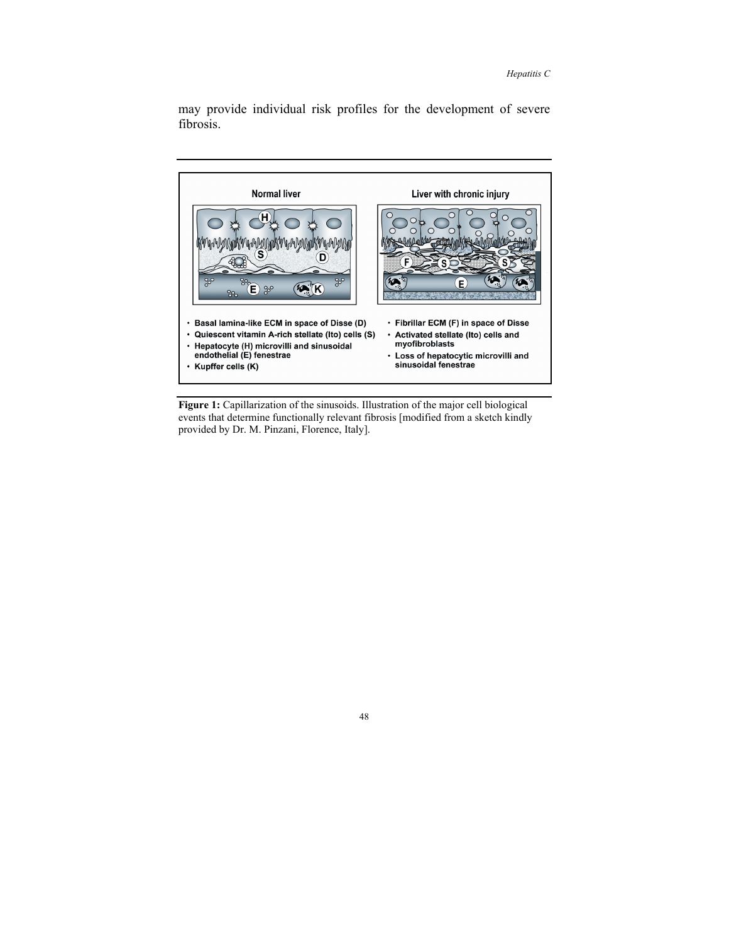may provide individual risk profiles for the development of severe fibrosis.



**Figure 1:** Capillarization of the sinusoids. Illustration of the major cell biological events that determine functionally relevant fibrosis [modified from a sketch kindly provided by Dr. M. Pinzani, Florence, Italy].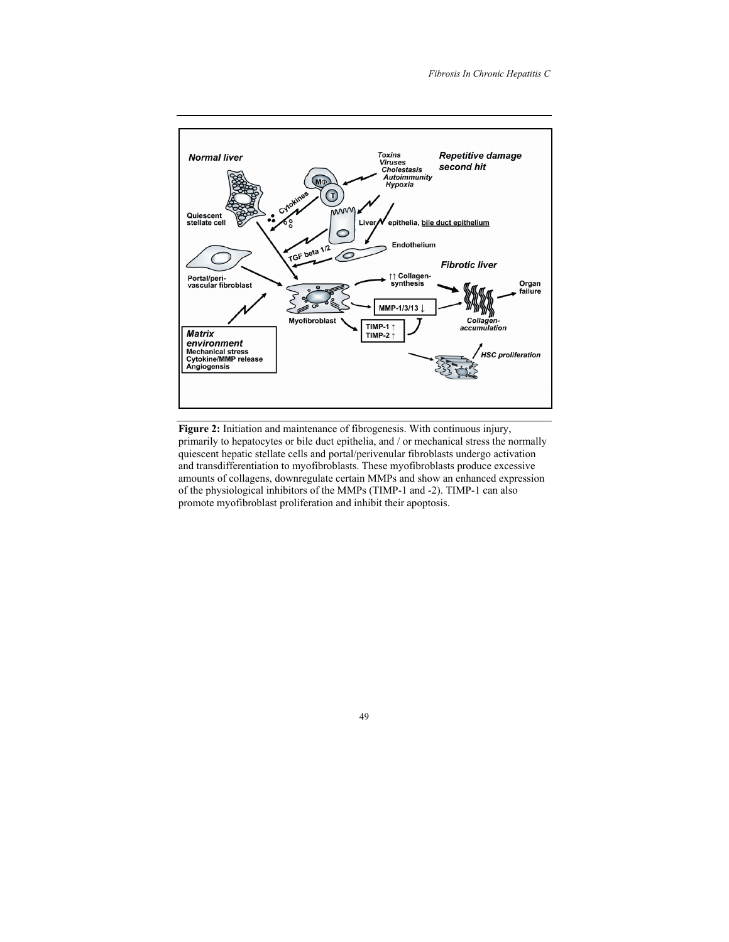

**Figure 2:** Initiation and maintenance of fibrogenesis. With continuous injury, primarily to hepatocytes or bile duct epithelia, and / or mechanical stress the normally quiescent hepatic stellate cells and portal/perivenular fibroblasts undergo activation and transdifferentiation to myofibroblasts. These myofibroblasts produce excessive amounts of collagens, downregulate certain MMPs and show an enhanced expression of the physiological inhibitors of the MMPs (TIMP-1 and -2). TIMP-1 can also promote myofibroblast proliferation and inhibit their apoptosis.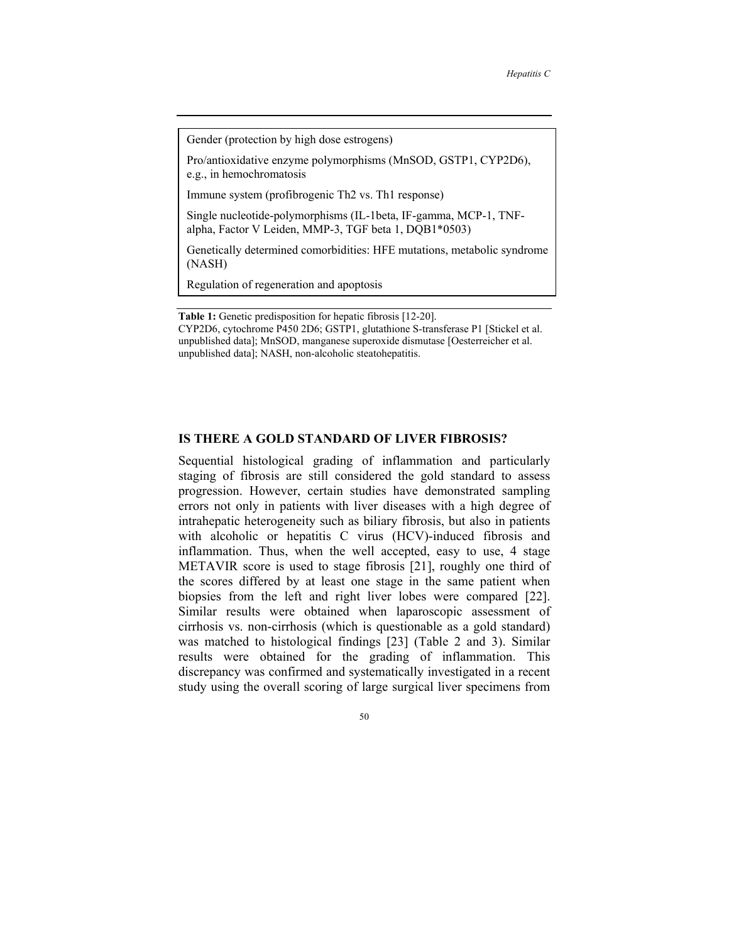Gender (protection by high dose estrogens)

Pro/antioxidative enzyme polymorphisms (MnSOD, GSTP1, CYP2D6), e.g., in hemochromatosis

Immune system (profibrogenic Th2 vs. Th1 response)

Single nucleotide-polymorphisms (IL-1beta, IF-gamma, MCP-1, TNFalpha, Factor V Leiden, MMP-3, TGF beta 1, DQB1\*0503)

Genetically determined comorbidities: HFE mutations, metabolic syndrome (NASH)

Regulation of regeneration and apoptosis

**Table 1:** Genetic predisposition for hepatic fibrosis [12-20]. CYP2D6, cytochrome P450 2D6; GSTP1, glutathione S-transferase P1 [Stickel et al. unpublished data]; MnSOD, manganese superoxide dismutase [Oesterreicher et al. unpublished data]; NASH, non-alcoholic steatohepatitis.

#### **IS THERE A GOLD STANDARD OF LIVER FIBROSIS?**

Sequential histological grading of inflammation and particularly staging of fibrosis are still considered the gold standard to assess progression. However, certain studies have demonstrated sampling errors not only in patients with liver diseases with a high degree of intrahepatic heterogeneity such as biliary fibrosis, but also in patients with alcoholic or hepatitis C virus (HCV)-induced fibrosis and inflammation. Thus, when the well accepted, easy to use, 4 stage METAVIR score is used to stage fibrosis [21], roughly one third of the scores differed by at least one stage in the same patient when biopsies from the left and right liver lobes were compared [22]. Similar results were obtained when laparoscopic assessment of cirrhosis vs. non-cirrhosis (which is questionable as a gold standard) was matched to histological findings [23] (Table 2 and 3). Similar results were obtained for the grading of inflammation. This discrepancy was confirmed and systematically investigated in a recent study using the overall scoring of large surgical liver specimens from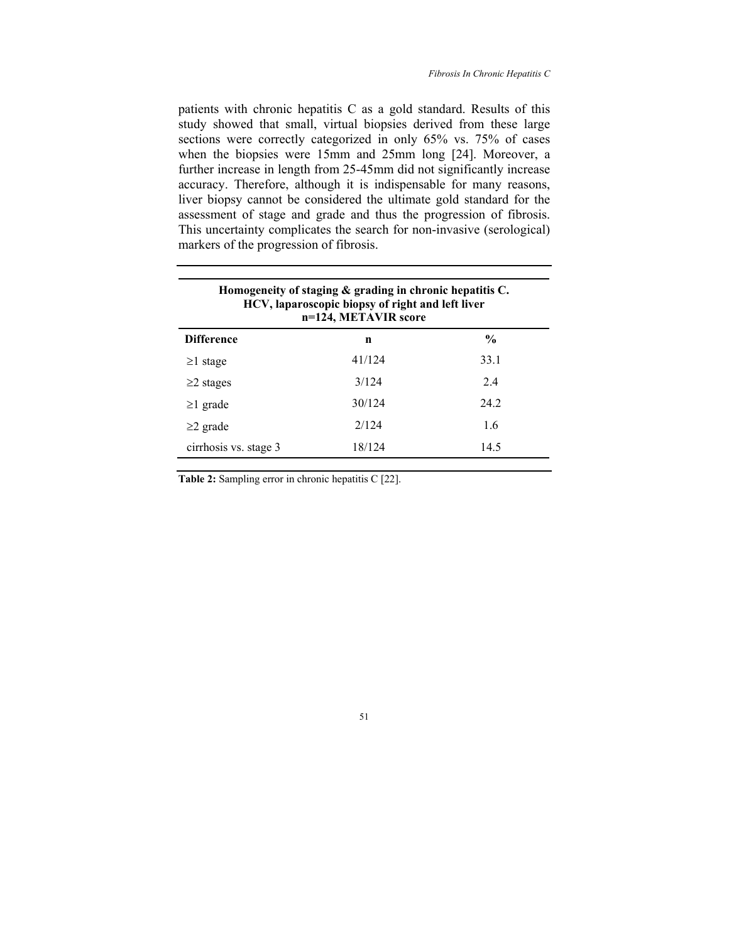patients with chronic hepatitis C as a gold standard. Results of this study showed that small, virtual biopsies derived from these large sections were correctly categorized in only 65% vs. 75% of cases when the biopsies were 15mm and 25mm long [24]. Moreover, a further increase in length from 25-45mm did not significantly increase accuracy. Therefore, although it is indispensable for many reasons, liver biopsy cannot be considered the ultimate gold standard for the assessment of stage and grade and thus the progression of fibrosis. This uncertainty complicates the search for non-invasive (serological) markers of the progression of fibrosis.

| Homogeneity of staging & grading in chronic hepatitis C.<br>HCV, laparoscopic biopsy of right and left liver<br>n=124, METAVIR score |        |               |  |
|--------------------------------------------------------------------------------------------------------------------------------------|--------|---------------|--|
| <b>Difference</b>                                                                                                                    | n      | $\frac{0}{0}$ |  |
| $\geq$ 1 stage                                                                                                                       | 41/124 | 33.1          |  |
| $\geq$ 2 stages                                                                                                                      | 3/124  | 24            |  |
| $\geq$ l grade                                                                                                                       | 30/124 | 24 2          |  |
| $\geq$ 2 grade                                                                                                                       | 2/124  | 1.6           |  |
| cirrhosis vs. stage 3                                                                                                                | 18/124 | 14.5          |  |

Table 2: Sampling error in chronic hepatitis C [22].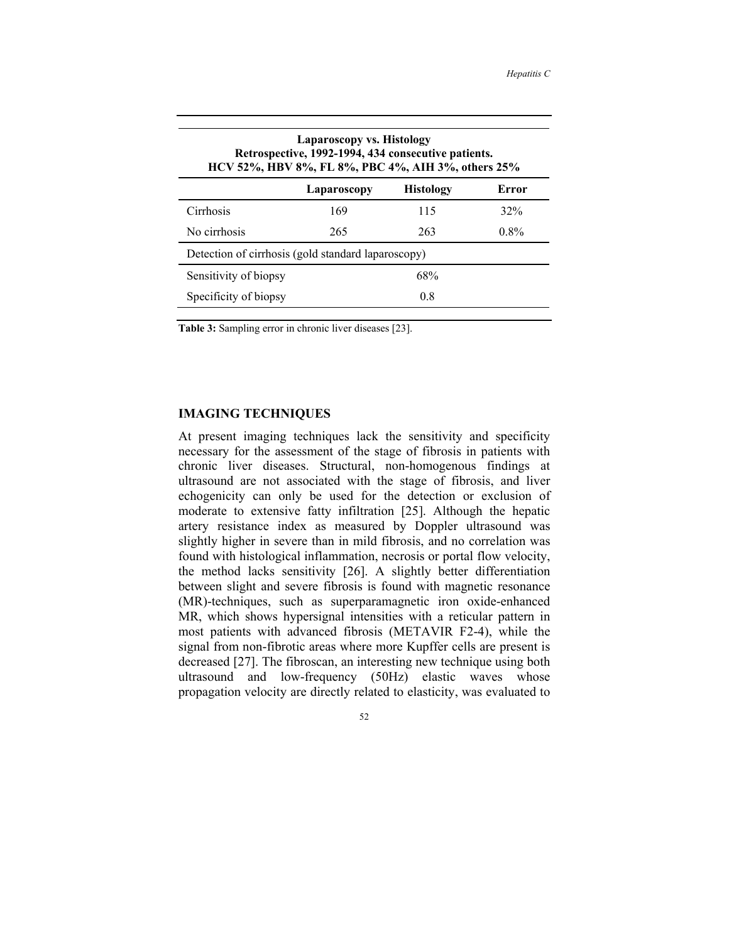| Laparoscopy vs. Histology<br>Retrospective, 1992-1994, 434 consecutive patients.<br>HCV 52%, HBV 8%, FL 8%, PBC 4%, AIH 3%, others 25% |             |                  |         |  |  |
|----------------------------------------------------------------------------------------------------------------------------------------|-------------|------------------|---------|--|--|
|                                                                                                                                        | Laparoscopy | <b>Histology</b> | Error   |  |  |
| Cirrhosis                                                                                                                              | 169         | 115              | 32%     |  |  |
| No cirrhosis                                                                                                                           | 265         | 263              | $0.8\%$ |  |  |
| Detection of cirrhosis (gold standard laparoscopy)                                                                                     |             |                  |         |  |  |
| Sensitivity of biopsy                                                                                                                  |             | 68%              |         |  |  |
| Specificity of biopsy                                                                                                                  |             | 0.8              |         |  |  |

**Table 3:** Sampling error in chronic liver diseases [23].

## **IMAGING TECHNIQUES**

At present imaging techniques lack the sensitivity and specificity necessary for the assessment of the stage of fibrosis in patients with chronic liver diseases. Structural, non-homogenous findings at ultrasound are not associated with the stage of fibrosis, and liver echogenicity can only be used for the detection or exclusion of moderate to extensive fatty infiltration [25]. Although the hepatic artery resistance index as measured by Doppler ultrasound was slightly higher in severe than in mild fibrosis, and no correlation was found with histological inflammation, necrosis or portal flow velocity, the method lacks sensitivity [26]. A slightly better differentiation between slight and severe fibrosis is found with magnetic resonance (MR)-techniques, such as superparamagnetic iron oxide-enhanced MR, which shows hypersignal intensities with a reticular pattern in most patients with advanced fibrosis (METAVIR F2-4), while the signal from non-fibrotic areas where more Kupffer cells are present is decreased [27]. The fibroscan, an interesting new technique using both ultrasound and low-frequency (50Hz) elastic waves whose propagation velocity are directly related to elasticity, was evaluated to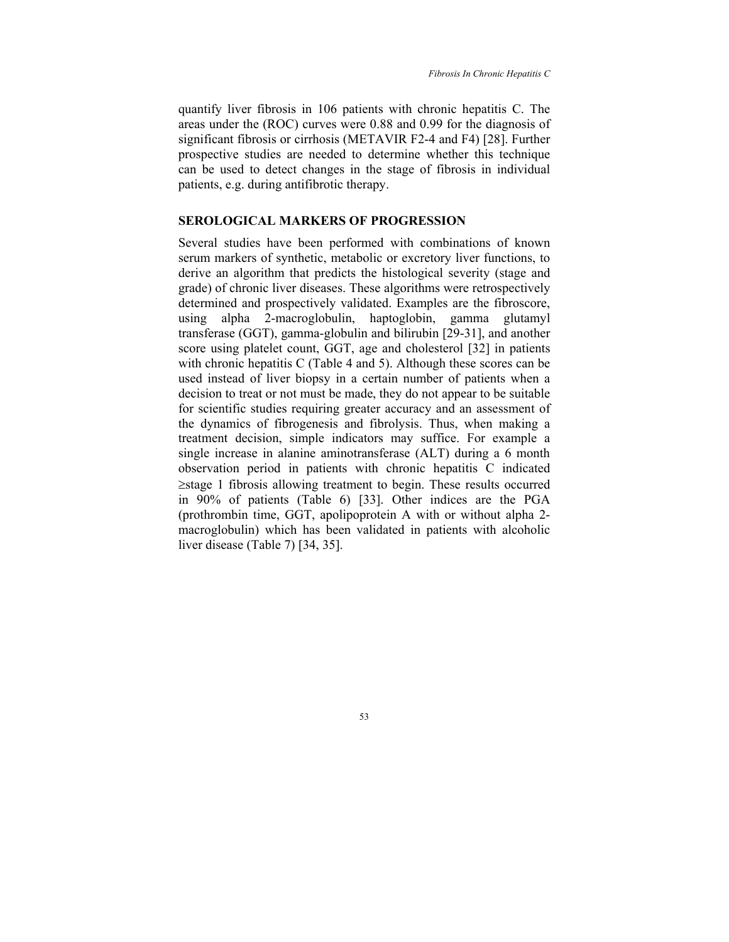quantify liver fibrosis in 106 patients with chronic hepatitis C. The areas under the (ROC) curves were 0.88 and 0.99 for the diagnosis of significant fibrosis or cirrhosis (METAVIR F2-4 and F4) [28]. Further prospective studies are needed to determine whether this technique can be used to detect changes in the stage of fibrosis in individual patients, e.g. during antifibrotic therapy.

#### **SEROLOGICAL MARKERS OF PROGRESSION**

Several studies have been performed with combinations of known serum markers of synthetic, metabolic or excretory liver functions, to derive an algorithm that predicts the histological severity (stage and grade) of chronic liver diseases. These algorithms were retrospectively determined and prospectively validated. Examples are the fibroscore, using alpha 2-macroglobulin, haptoglobin, gamma glutamyl transferase (GGT), gamma-globulin and bilirubin [29-31], and another score using platelet count, GGT, age and cholesterol [32] in patients with chronic hepatitis C (Table 4 and 5). Although these scores can be used instead of liver biopsy in a certain number of patients when a decision to treat or not must be made, they do not appear to be suitable for scientific studies requiring greater accuracy and an assessment of the dynamics of fibrogenesis and fibrolysis. Thus, when making a treatment decision, simple indicators may suffice. For example a single increase in alanine aminotransferase (ALT) during a 6 month observation period in patients with chronic hepatitis C indicated ≥stage 1 fibrosis allowing treatment to begin. These results occurred in 90% of patients (Table 6) [33]. Other indices are the PGA (prothrombin time, GGT, apolipoprotein A with or without alpha 2 macroglobulin) which has been validated in patients with alcoholic liver disease (Table 7) [34, 35].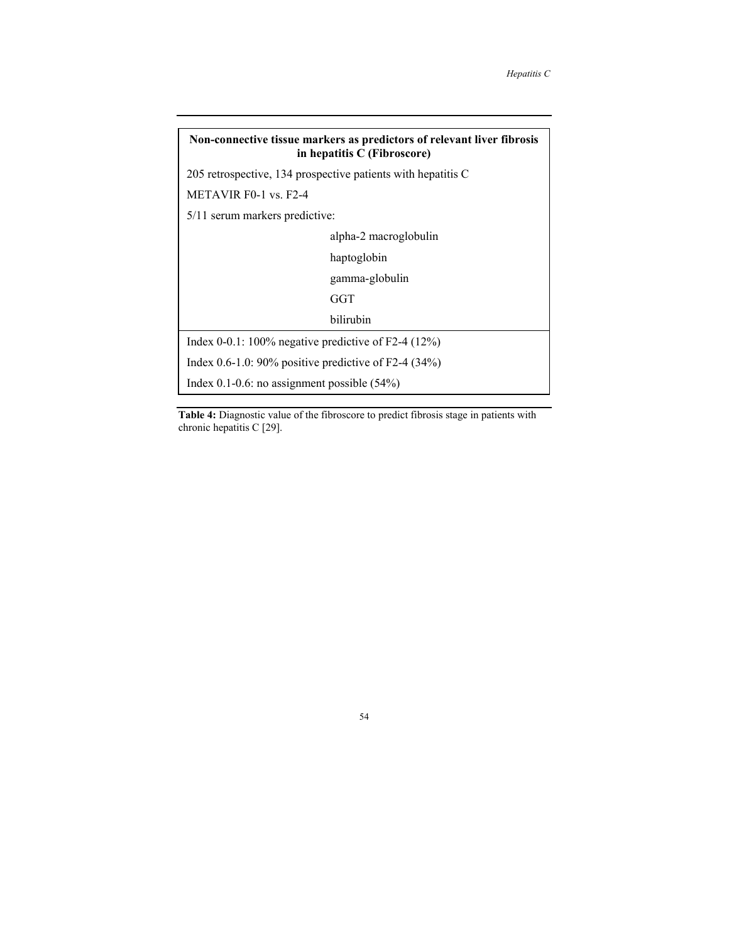# **Non-connective tissue markers as predictors of relevant liver fibrosis in hepatitis C (Fibroscore)**  205 retrospective, 134 prospective patients with hepatitis C METAVIR F0-1 vs. F2-4 5/11 serum markers predictive: alpha-2 macroglobulin haptoglobin gamma-globulin GGT bilirubin Index 0-0.1: 100% negative predictive of F2-4 (12%) Index 0.6-1.0: 90% positive predictive of F2-4 (34%) Index 0.1-0.6: no assignment possible (54%)

**Table 4:** Diagnostic value of the fibroscore to predict fibrosis stage in patients with chronic hepatitis C [29].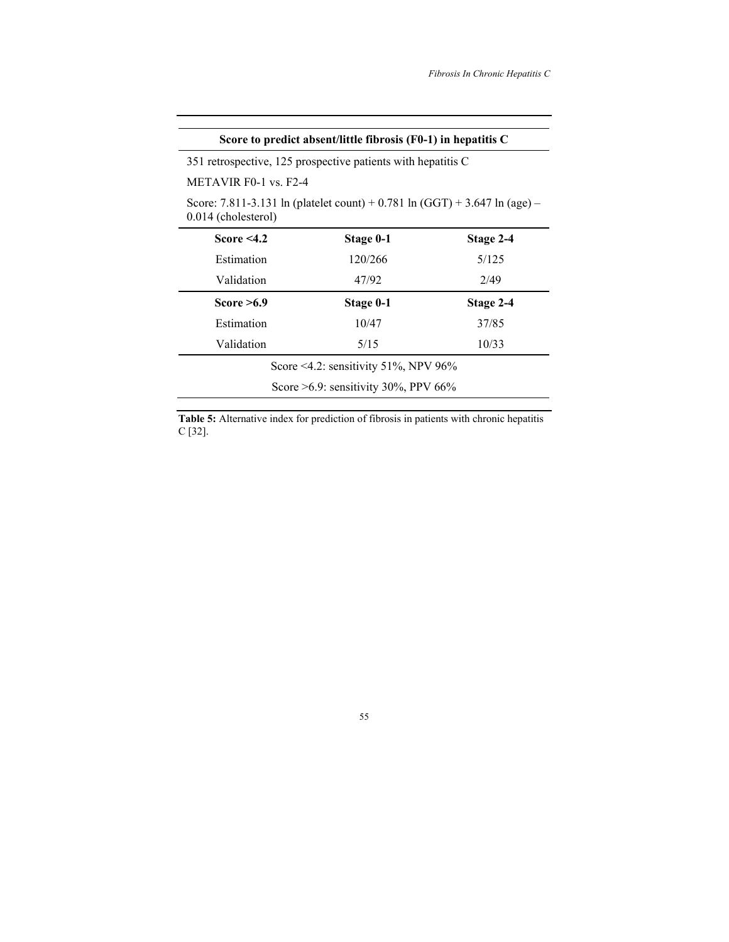| Score to predict absent/little fibrosis $(F0-1)$ in hepatitis C                                   |           |           |  |  |  |
|---------------------------------------------------------------------------------------------------|-----------|-----------|--|--|--|
| 351 retrospective, 125 prospective patients with hepatitis C                                      |           |           |  |  |  |
| METAVIR F0-1 vs. F2-4                                                                             |           |           |  |  |  |
| Score: 7.811-3.131 ln (platelet count) + 0.781 ln (GGT) + 3.647 ln (age) –<br>0.014 (cholesterol) |           |           |  |  |  |
| Score $<$ 4.2                                                                                     | Stage 0-1 | Stage 2-4 |  |  |  |
| Estimation                                                                                        | 120/266   | 5/125     |  |  |  |
| Validation                                                                                        | 47/92     | 2/49      |  |  |  |
| Score $\geq 6.9$                                                                                  | Stage 0-1 | Stage 2-4 |  |  |  |
| Estimation                                                                                        | 10/47     | 37/85     |  |  |  |
| Validation                                                                                        | 5/15      | 10/33     |  |  |  |
| Score <4.2: sensitivity 51%, NPV 96%                                                              |           |           |  |  |  |
| Score $>6.9$ : sensitivity 30%, PPV 66%                                                           |           |           |  |  |  |

**Table 5:** Alternative index for prediction of fibrosis in patients with chronic hepatitis C [32].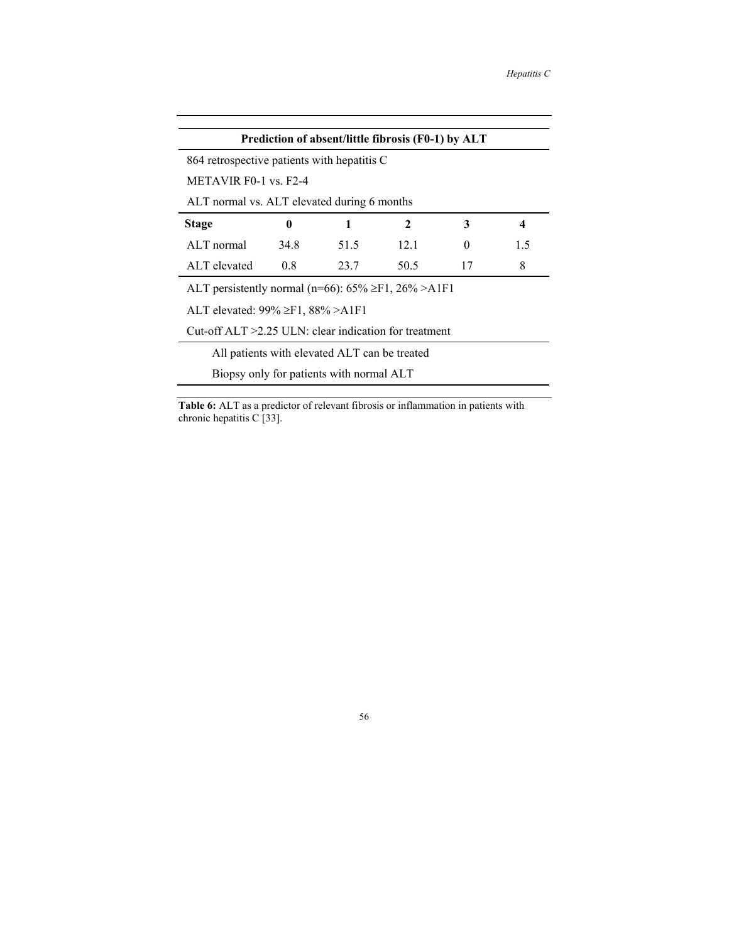| Prediction of absent/little fibrosis (F0-1) by ALT             |      |      |      |              |                  |
|----------------------------------------------------------------|------|------|------|--------------|------------------|
| 864 retrospective patients with hepatitis C                    |      |      |      |              |                  |
| METAVIR $F0-1$ vs $F2-4$                                       |      |      |      |              |                  |
| ALT normal vs. ALT elevated during 6 months                    |      |      |      |              |                  |
| <b>Stage</b>                                                   | 0    | 1    | 2    | 3            | $\boldsymbol{4}$ |
| ALT normal                                                     | 34.8 | 51.5 | 12.1 | $\mathbf{0}$ | 1.5              |
| ALT elevated                                                   | 0.8  | 23.7 | 50.5 | 17           | 8                |
| ALT persistently normal (n=66): $65\% \geq F1$ , $26\% > A1F1$ |      |      |      |              |                  |
| ALT elevated: $99\% \geq F1$ , $88\% > A1F1$                   |      |      |      |              |                  |
| Cut-off $ALT > 2.25$ ULN: clear indication for treatment       |      |      |      |              |                  |
| All patients with elevated ALT can be treated                  |      |      |      |              |                  |
| Biopsy only for patients with normal ALT                       |      |      |      |              |                  |

**Table 6:** ALT as a predictor of relevant fibrosis or inflammation in patients with chronic hepatitis C [33].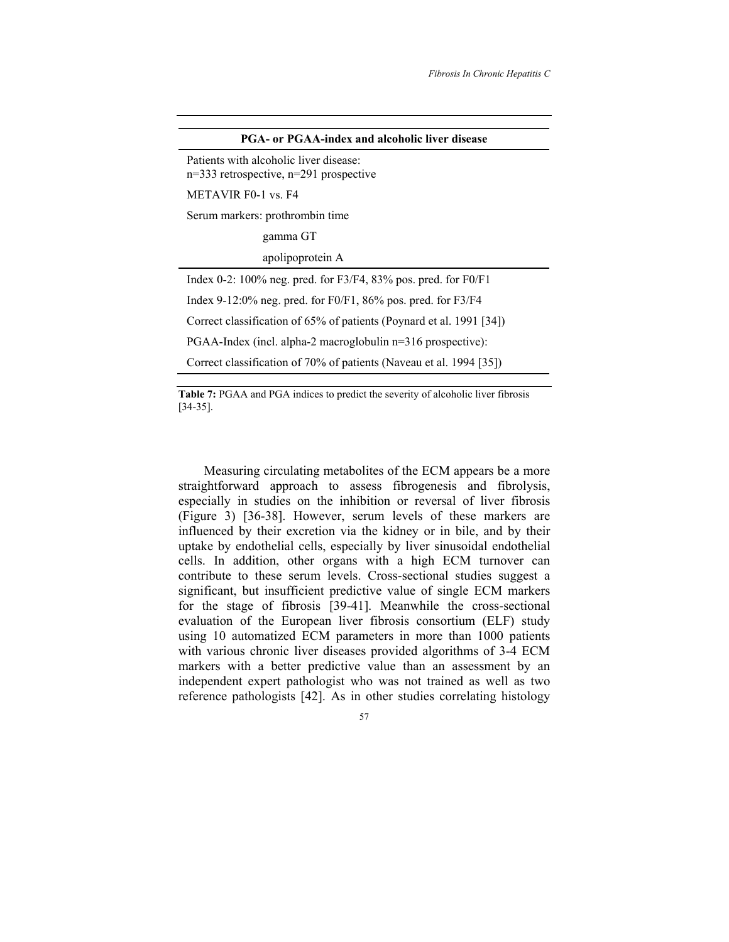| <b>PGA- or PGAA-index and alcoholic liver disease</b>                                |
|--------------------------------------------------------------------------------------|
| Patients with alcoholic liver disease:<br>$n=333$ retrospective, $n=291$ prospective |
| METAVIR F0-1 vs. F4                                                                  |
| Serum markers: prothrombin time                                                      |
| gamma GT                                                                             |
| apolipoprotein A                                                                     |
| Index 0-2: $100\%$ neg. pred. for F3/F4, 83% pos. pred. for F0/F1                    |
| Index 9-12:0% neg. pred. for $F0/F1$ , 86% pos. pred. for $F3/F4$                    |
| Correct classification of 65% of patients (Poynard et al. 1991 [34])                 |
| PGAA-Index (incl. alpha-2 macroglobulin n=316 prospective):                          |
| Correct classification of 70% of patients (Naveau et al. 1994 [35])                  |
|                                                                                      |

**Table 7:** PGAA and PGA indices to predict the severity of alcoholic liver fibrosis [34-35].

Measuring circulating metabolites of the ECM appears be a more straightforward approach to assess fibrogenesis and fibrolysis, especially in studies on the inhibition or reversal of liver fibrosis (Figure 3) [36-38]. However, serum levels of these markers are influenced by their excretion via the kidney or in bile, and by their uptake by endothelial cells, especially by liver sinusoidal endothelial cells. In addition, other organs with a high ECM turnover can contribute to these serum levels. Cross-sectional studies suggest a significant, but insufficient predictive value of single ECM markers for the stage of fibrosis [39-41]. Meanwhile the cross-sectional evaluation of the European liver fibrosis consortium (ELF) study using 10 automatized ECM parameters in more than 1000 patients with various chronic liver diseases provided algorithms of 3-4 ECM markers with a better predictive value than an assessment by an independent expert pathologist who was not trained as well as two reference pathologists [42]. As in other studies correlating histology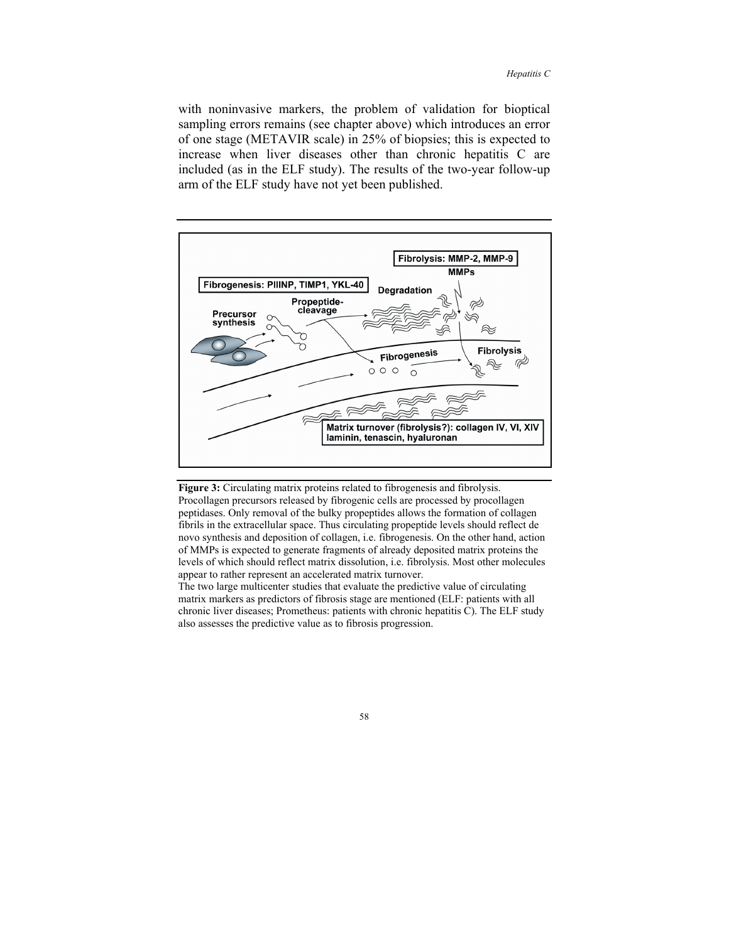with noninvasive markers, the problem of validation for bioptical sampling errors remains (see chapter above) which introduces an error of one stage (METAVIR scale) in 25% of biopsies; this is expected to increase when liver diseases other than chronic hepatitis C are included (as in the ELF study). The results of the two-year follow-up arm of the ELF study have not yet been published.



**Figure 3:** Circulating matrix proteins related to fibrogenesis and fibrolysis. Procollagen precursors released by fibrogenic cells are processed by procollagen peptidases. Only removal of the bulky propeptides allows the formation of collagen fibrils in the extracellular space. Thus circulating propeptide levels should reflect de novo synthesis and deposition of collagen, i.e. fibrogenesis. On the other hand, action of MMPs is expected to generate fragments of already deposited matrix proteins the levels of which should reflect matrix dissolution, i.e. fibrolysis. Most other molecules appear to rather represent an accelerated matrix turnover.

The two large multicenter studies that evaluate the predictive value of circulating matrix markers as predictors of fibrosis stage are mentioned (ELF: patients with all chronic liver diseases; Prometheus: patients with chronic hepatitis C). The ELF study also assesses the predictive value as to fibrosis progression.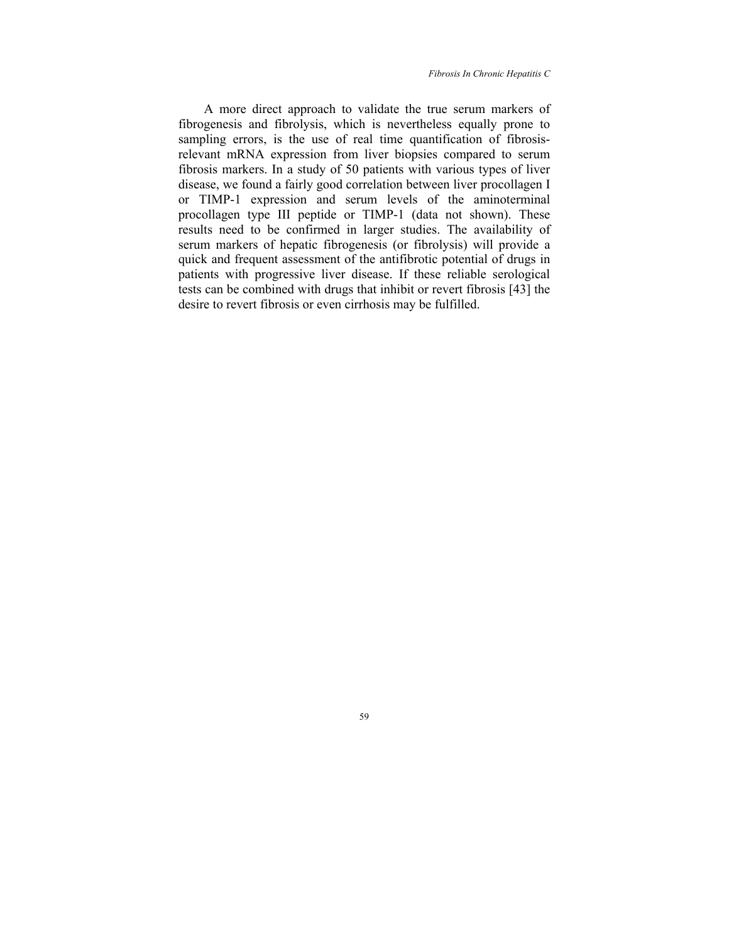*Fibrosis In Chronic Hepatitis C* 

A more direct approach to validate the true serum markers of fibrogenesis and fibrolysis, which is nevertheless equally prone to sampling errors, is the use of real time quantification of fibrosisrelevant mRNA expression from liver biopsies compared to serum fibrosis markers. In a study of 50 patients with various types of liver disease, we found a fairly good correlation between liver procollagen I or TIMP-1 expression and serum levels of the aminoterminal procollagen type III peptide or TIMP-1 (data not shown). These results need to be confirmed in larger studies. The availability of serum markers of hepatic fibrogenesis (or fibrolysis) will provide a quick and frequent assessment of the antifibrotic potential of drugs in patients with progressive liver disease. If these reliable serological tests can be combined with drugs that inhibit or revert fibrosis [43] the desire to revert fibrosis or even cirrhosis may be fulfilled.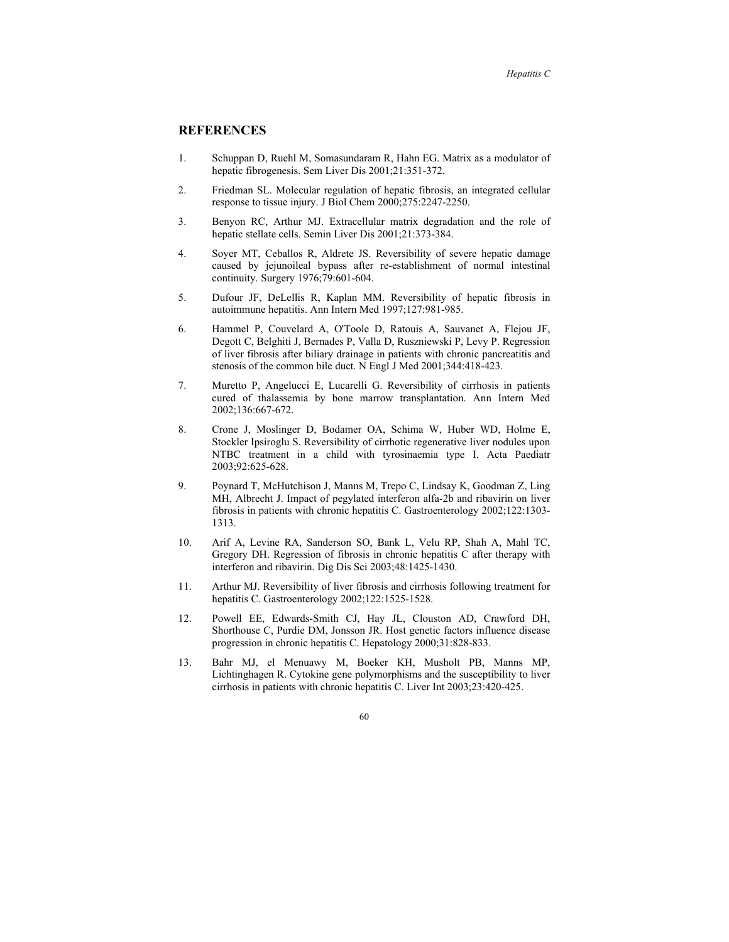# **REFERENCES**

- 1. Schuppan D, Ruehl M, Somasundaram R, Hahn EG. Matrix as a modulator of hepatic fibrogenesis. Sem Liver Dis 2001;21:351-372.
- 2. Friedman SL. Molecular regulation of hepatic fibrosis, an integrated cellular response to tissue injury. J Biol Chem 2000;275:2247-2250.
- 3. Benyon RC, Arthur MJ. Extracellular matrix degradation and the role of hepatic stellate cells. Semin Liver Dis 2001;21:373-384.
- 4. Soyer MT, Ceballos R, Aldrete JS. Reversibility of severe hepatic damage caused by jejunoileal bypass after re-establishment of normal intestinal continuity. Surgery 1976;79:601-604.
- 5. Dufour JF, DeLellis R, Kaplan MM. Reversibility of hepatic fibrosis in autoimmune hepatitis. Ann Intern Med 1997;127:981-985.
- 6. Hammel P, Couvelard A, O'Toole D, Ratouis A, Sauvanet A, Flejou JF, Degott C, Belghiti J, Bernades P, Valla D, Ruszniewski P, Levy P. Regression of liver fibrosis after biliary drainage in patients with chronic pancreatitis and stenosis of the common bile duct. N Engl J Med 2001;344:418-423.
- 7. Muretto P, Angelucci E, Lucarelli G. Reversibility of cirrhosis in patients cured of thalassemia by bone marrow transplantation. Ann Intern Med 2002;136:667-672.
- 8. Crone J, Moslinger D, Bodamer OA, Schima W, Huber WD, Holme E, Stockler Ipsiroglu S. Reversibility of cirrhotic regenerative liver nodules upon NTBC treatment in a child with tyrosinaemia type I. Acta Paediatr 2003;92:625-628.
- 9. Poynard T, McHutchison J, Manns M, Trepo C, Lindsay K, Goodman Z, Ling MH, Albrecht J. Impact of pegylated interferon alfa-2b and ribavirin on liver fibrosis in patients with chronic hepatitis C. Gastroenterology 2002;122:1303- 1313.
- 10. Arif A, Levine RA, Sanderson SO, Bank L, Velu RP, Shah A, Mahl TC, Gregory DH. Regression of fibrosis in chronic hepatitis C after therapy with interferon and ribavirin. Dig Dis Sci 2003;48:1425-1430.
- 11. Arthur MJ. Reversibility of liver fibrosis and cirrhosis following treatment for hepatitis C. Gastroenterology 2002;122:1525-1528.
- 12. Powell EE, Edwards-Smith CJ, Hay JL, Clouston AD, Crawford DH, Shorthouse C, Purdie DM, Jonsson JR. Host genetic factors influence disease progression in chronic hepatitis C. Hepatology 2000;31:828-833.
- 13. Bahr MJ, el Menuawy M, Boeker KH, Musholt PB, Manns MP, Lichtinghagen R. Cytokine gene polymorphisms and the susceptibility to liver cirrhosis in patients with chronic hepatitis C. Liver Int 2003;23:420-425.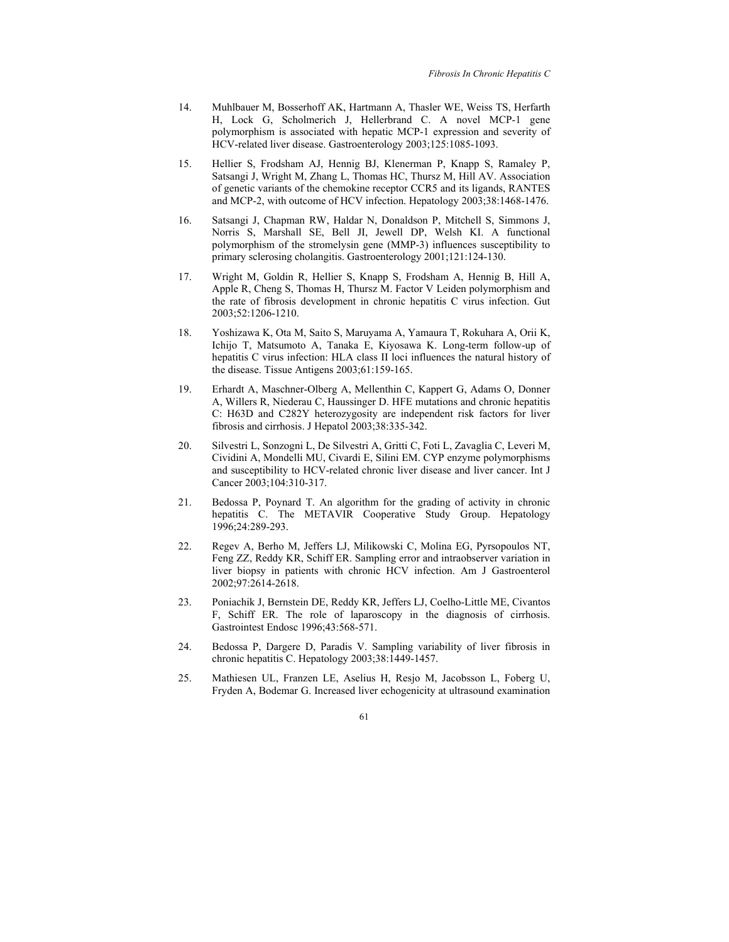- 14. Muhlbauer M, Bosserhoff AK, Hartmann A, Thasler WE, Weiss TS, Herfarth H, Lock G, Scholmerich J, Hellerbrand C. A novel MCP-1 gene polymorphism is associated with hepatic MCP-1 expression and severity of HCV-related liver disease. Gastroenterology 2003;125:1085-1093.
- 15. Hellier S, Frodsham AJ, Hennig BJ, Klenerman P, Knapp S, Ramaley P, Satsangi J, Wright M, Zhang L, Thomas HC, Thursz M, Hill AV. Association of genetic variants of the chemokine receptor CCR5 and its ligands, RANTES and MCP-2, with outcome of HCV infection. Hepatology 2003;38:1468-1476.
- 16. Satsangi J, Chapman RW, Haldar N, Donaldson P, Mitchell S, Simmons J, Norris S, Marshall SE, Bell JI, Jewell DP, Welsh KI. A functional polymorphism of the stromelysin gene (MMP-3) influences susceptibility to primary sclerosing cholangitis. Gastroenterology 2001;121:124-130.
- 17. Wright M, Goldin R, Hellier S, Knapp S, Frodsham A, Hennig B, Hill A, Apple R, Cheng S, Thomas H, Thursz M. Factor V Leiden polymorphism and the rate of fibrosis development in chronic hepatitis C virus infection. Gut 2003;52:1206-1210.
- 18. Yoshizawa K, Ota M, Saito S, Maruyama A, Yamaura T, Rokuhara A, Orii K, Ichijo T, Matsumoto A, Tanaka E, Kiyosawa K. Long-term follow-up of hepatitis C virus infection: HLA class II loci influences the natural history of the disease. Tissue Antigens 2003;61:159-165.
- 19. Erhardt A, Maschner-Olberg A, Mellenthin C, Kappert G, Adams O, Donner A, Willers R, Niederau C, Haussinger D. HFE mutations and chronic hepatitis C: H63D and C282Y heterozygosity are independent risk factors for liver fibrosis and cirrhosis. J Hepatol 2003;38:335-342.
- 20. Silvestri L, Sonzogni L, De Silvestri A, Gritti C, Foti L, Zavaglia C, Leveri M, Cividini A, Mondelli MU, Civardi E, Silini EM. CYP enzyme polymorphisms and susceptibility to HCV-related chronic liver disease and liver cancer. Int J Cancer 2003;104:310-317.
- 21. Bedossa P, Poynard T. An algorithm for the grading of activity in chronic hepatitis C. The METAVIR Cooperative Study Group. Hepatology 1996;24:289-293.
- 22. Regev A, Berho M, Jeffers LJ, Milikowski C, Molina EG, Pyrsopoulos NT, Feng ZZ, Reddy KR, Schiff ER. Sampling error and intraobserver variation in liver biopsy in patients with chronic HCV infection. Am J Gastroenterol 2002;97:2614-2618.
- 23. Poniachik J, Bernstein DE, Reddy KR, Jeffers LJ, Coelho-Little ME, Civantos F, Schiff ER. The role of laparoscopy in the diagnosis of cirrhosis. Gastrointest Endosc 1996;43:568-571.
- 24. Bedossa P, Dargere D, Paradis V. Sampling variability of liver fibrosis in chronic hepatitis C. Hepatology 2003;38:1449-1457.
- 25. Mathiesen UL, Franzen LE, Aselius H, Resjo M, Jacobsson L, Foberg U, Fryden A, Bodemar G. Increased liver echogenicity at ultrasound examination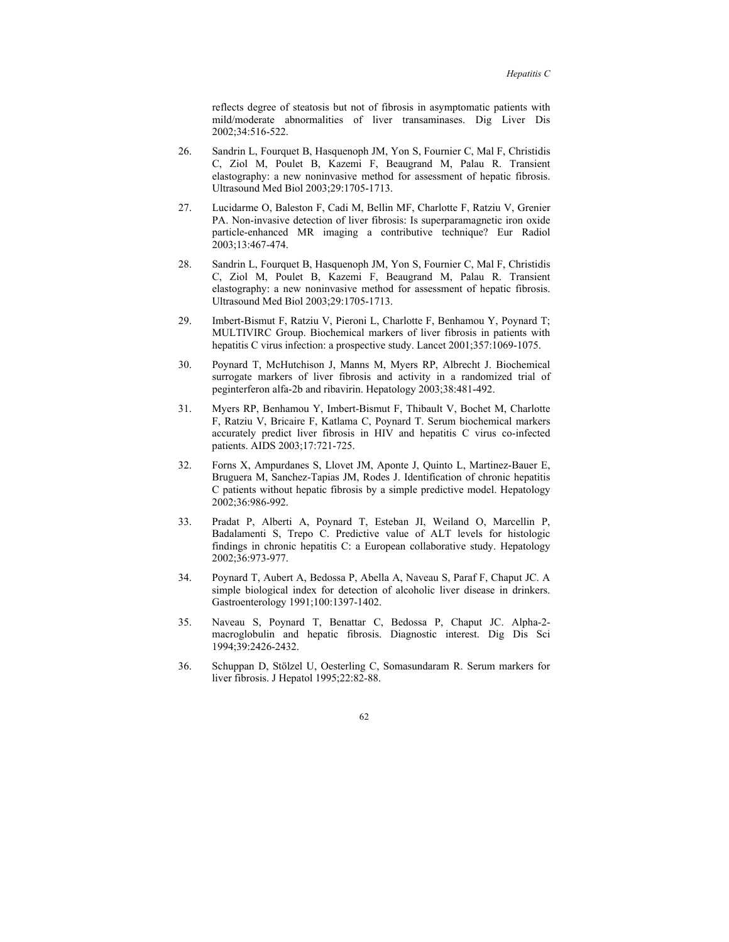reflects degree of steatosis but not of fibrosis in asymptomatic patients with mild/moderate abnormalities of liver transaminases. Dig Liver Dis 2002;34:516-522.

- 26. Sandrin L, Fourquet B, Hasquenoph JM, Yon S, Fournier C, Mal F, Christidis C, Ziol M, Poulet B, Kazemi F, Beaugrand M, Palau R. Transient elastography: a new noninvasive method for assessment of hepatic fibrosis. Ultrasound Med Biol 2003;29:1705-1713.
- 27. Lucidarme O, Baleston F, Cadi M, Bellin MF, Charlotte F, Ratziu V, Grenier PA. Non-invasive detection of liver fibrosis: Is superparamagnetic iron oxide particle-enhanced MR imaging a contributive technique? Eur Radiol 2003;13:467-474.
- 28. Sandrin L, Fourquet B, Hasquenoph JM, Yon S, Fournier C, Mal F, Christidis C, Ziol M, Poulet B, Kazemi F, Beaugrand M, Palau R. Transient elastography: a new noninvasive method for assessment of hepatic fibrosis. Ultrasound Med Biol 2003;29:1705-1713.
- 29. Imbert-Bismut F, Ratziu V, Pieroni L, Charlotte F, Benhamou Y, Poynard T; MULTIVIRC Group. Biochemical markers of liver fibrosis in patients with hepatitis C virus infection: a prospective study. Lancet 2001;357:1069-1075.
- 30. Poynard T, McHutchison J, Manns M, Myers RP, Albrecht J. Biochemical surrogate markers of liver fibrosis and activity in a randomized trial of peginterferon alfa-2b and ribavirin. Hepatology 2003;38:481-492.
- 31. Myers RP, Benhamou Y, Imbert-Bismut F, Thibault V, Bochet M, Charlotte F, Ratziu V, Bricaire F, Katlama C, Poynard T. Serum biochemical markers accurately predict liver fibrosis in HIV and hepatitis C virus co-infected patients. AIDS 2003;17:721-725.
- 32. Forns X, Ampurdanes S, Llovet JM, Aponte J, Quinto L, Martinez-Bauer E, Bruguera M, Sanchez-Tapias JM, Rodes J. Identification of chronic hepatitis C patients without hepatic fibrosis by a simple predictive model. Hepatology 2002;36:986-992.
- 33. Pradat P, Alberti A, Poynard T, Esteban JI, Weiland O, Marcellin P, Badalamenti S, Trepo C. Predictive value of ALT levels for histologic findings in chronic hepatitis C: a European collaborative study. Hepatology 2002;36:973-977.
- 34. Poynard T, Aubert A, Bedossa P, Abella A, Naveau S, Paraf F, Chaput JC. A simple biological index for detection of alcoholic liver disease in drinkers. Gastroenterology 1991;100:1397-1402.
- 35. Naveau S, Poynard T, Benattar C, Bedossa P, Chaput JC. Alpha-2 macroglobulin and hepatic fibrosis. Diagnostic interest. Dig Dis Sci 1994;39:2426-2432.
- 36. Schuppan D, Stölzel U, Oesterling C, Somasundaram R. Serum markers for liver fibrosis. J Hepatol 1995;22:82-88.